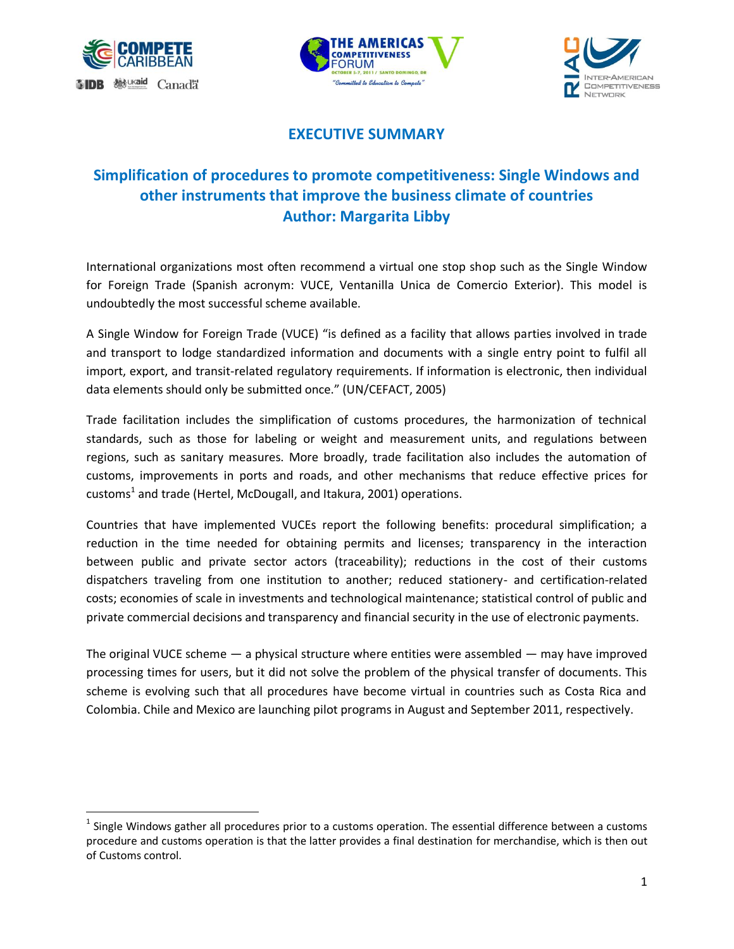

 $\overline{\phantom{a}}$ 





## **EXECUTIVE SUMMARY**

## **Simplification of procedures to promote competitiveness: Single Windows and other instruments that improve the business climate of countries Author: Margarita Libby**

International organizations most often recommend a virtual one stop shop such as the Single Window for Foreign Trade (Spanish acronym: VUCE, Ventanilla Unica de Comercio Exterior). This model is undoubtedly the most successful scheme available.

A Single Window for Foreign Trade (VUCE) "is defined as a facility that allows parties involved in trade and transport to lodge standardized information and documents with a single entry point to fulfil all import, export, and transit-related regulatory requirements. If information is electronic, then individual data elements should only be submitted once." (UN/CEFACT, 2005)

Trade facilitation includes the simplification of customs procedures, the harmonization of technical standards, such as those for labeling or weight and measurement units, and regulations between regions, such as sanitary measures. More broadly, trade facilitation also includes the automation of customs, improvements in ports and roads, and other mechanisms that reduce effective prices for customs<sup>1</sup> and trade (Hertel, McDougall, and Itakura, 2001) operations.

Countries that have implemented VUCEs report the following benefits: procedural simplification; a reduction in the time needed for obtaining permits and licenses; transparency in the interaction between public and private sector actors (traceability); reductions in the cost of their customs dispatchers traveling from one institution to another; reduced stationery- and certification-related costs; economies of scale in investments and technological maintenance; statistical control of public and private commercial decisions and transparency and financial security in the use of electronic payments.

The original VUCE scheme — a physical structure where entities were assembled — may have improved processing times for users, but it did not solve the problem of the physical transfer of documents. This scheme is evolving such that all procedures have become virtual in countries such as Costa Rica and Colombia. Chile and Mexico are launching pilot programs in August and September 2011, respectively.

 $<sup>1</sup>$  Single Windows gather all procedures prior to a customs operation. The essential difference between a customs</sup> procedure and customs operation is that the latter provides a final destination for merchandise, which is then out of Customs control.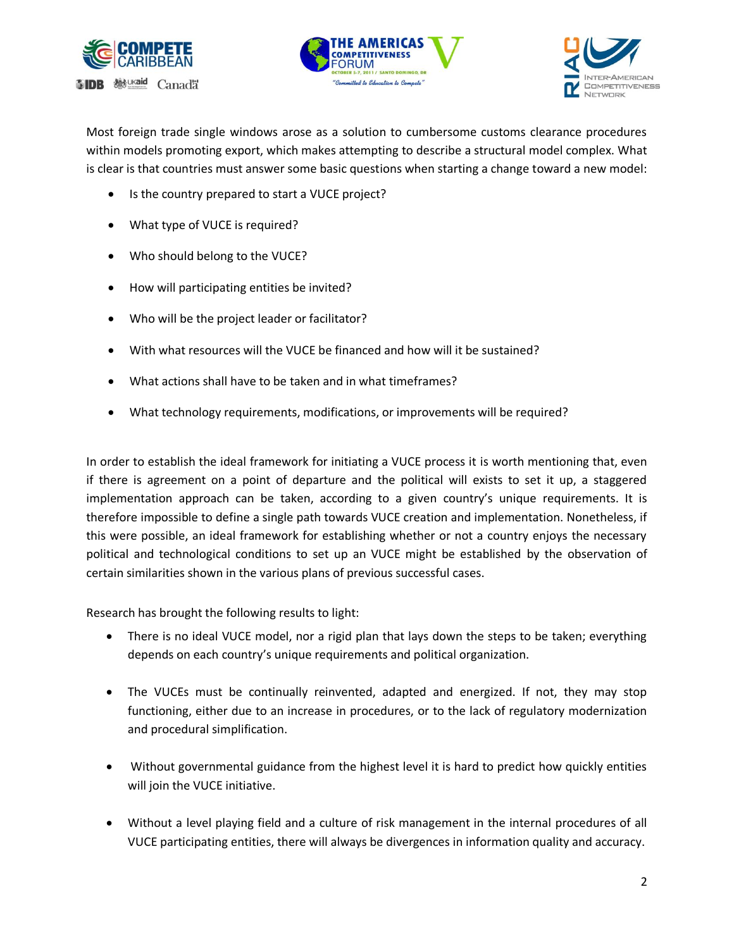





Most foreign trade single windows arose as a solution to cumbersome customs clearance procedures within models promoting export, which makes attempting to describe a structural model complex. What is clear is that countries must answer some basic questions when starting a change toward a new model:

- Is the country prepared to start a VUCE project?
- What type of VUCE is required?
- Who should belong to the VUCE?
- How will participating entities be invited?
- Who will be the project leader or facilitator?
- With what resources will the VUCE be financed and how will it be sustained?
- What actions shall have to be taken and in what timeframes?
- What technology requirements, modifications, or improvements will be required?

In order to establish the ideal framework for initiating a VUCE process it is worth mentioning that, even if there is agreement on a point of departure and the political will exists to set it up, a staggered implementation approach can be taken, according to a given country's unique requirements. It is therefore impossible to define a single path towards VUCE creation and implementation. Nonetheless, if this were possible, an ideal framework for establishing whether or not a country enjoys the necessary political and technological conditions to set up an VUCE might be established by the observation of certain similarities shown in the various plans of previous successful cases.

Research has brought the following results to light:

- There is no ideal VUCE model, nor a rigid plan that lays down the steps to be taken; everything depends on each country's unique requirements and political organization.
- The VUCEs must be continually reinvented, adapted and energized. If not, they may stop functioning, either due to an increase in procedures, or to the lack of regulatory modernization and procedural simplification.
- Without governmental guidance from the highest level it is hard to predict how quickly entities will join the VUCE initiative.
- Without a level playing field and a culture of risk management in the internal procedures of all VUCE participating entities, there will always be divergences in information quality and accuracy.